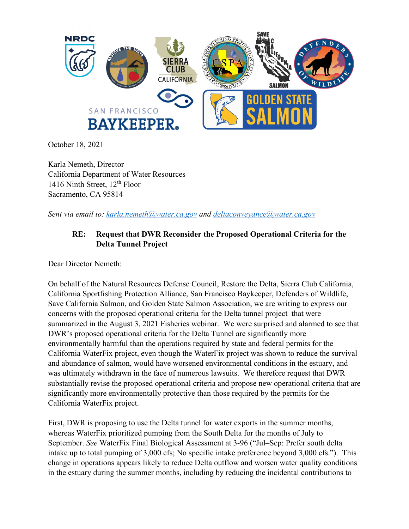

October 18, 2021

Karla Nemeth, Director California Department of Water Resources 1416 Ninth Street, 12<sup>th</sup> Floor Sacramento, CA 95814

*Sent via email to: [karla.nemeth@water.ca.gov](mailto:karla.nemeth@water.ca.gov) and [deltaconveyance@water.ca.gov](mailto:deltaconveyance@water.ca.gov)*

## **RE: Request that DWR Reconsider the Proposed Operational Criteria for the Delta Tunnel Project**

Dear Director Nemeth:

On behalf of the Natural Resources Defense Council, Restore the Delta, Sierra Club California, California Sportfishing Protection Alliance, San Francisco Baykeeper, Defenders of Wildlife, Save California Salmon, and Golden State Salmon Association, we are writing to express our concerns with the proposed operational criteria for the Delta tunnel project that were summarized in the August 3, 2021 Fisheries webinar. We were surprised and alarmed to see that DWR's proposed operational criteria for the Delta Tunnel are significantly more environmentally harmful than the operations required by state and federal permits for the California WaterFix project, even though the WaterFix project was shown to reduce the survival and abundance of salmon, would have worsened environmental conditions in the estuary, and was ultimately withdrawn in the face of numerous lawsuits. We therefore request that DWR substantially revise the proposed operational criteria and propose new operational criteria that are significantly more environmentally protective than those required by the permits for the California WaterFix project.

First, DWR is proposing to use the Delta tunnel for water exports in the summer months, whereas WaterFix prioritized pumping from the South Delta for the months of July to September. *See* WaterFix Final Biological Assessment at 3-96 ("Jul–Sep: Prefer south delta intake up to total pumping of 3,000 cfs; No specific intake preference beyond 3,000 cfs."). This change in operations appears likely to reduce Delta outflow and worsen water quality conditions in the estuary during the summer months, including by reducing the incidental contributions to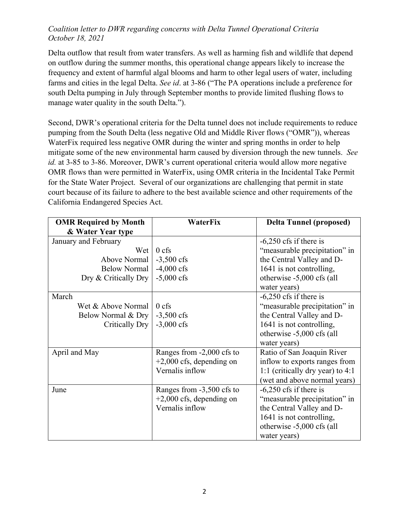Delta outflow that result from water transfers. As well as harming fish and wildlife that depend on outflow during the summer months, this operational change appears likely to increase the frequency and extent of harmful algal blooms and harm to other legal users of water, including farms and cities in the legal Delta. *See id*. at 3-86 ("The PA operations include a preference for south Delta pumping in July through September months to provide limited flushing flows to manage water quality in the south Delta.").

Second, DWR's operational criteria for the Delta tunnel does not include requirements to reduce pumping from the South Delta (less negative Old and Middle River flows ("OMR")), whereas WaterFix required less negative OMR during the winter and spring months in order to help mitigate some of the new environmental harm caused by diversion through the new tunnels. *See id.* at 3-85 to 3-86. Moreover, DWR's current operational criteria would allow more negative OMR flows than were permitted in WaterFix, using OMR criteria in the Incidental Take Permit for the State Water Project. Several of our organizations are challenging that permit in state court because of its failure to adhere to the best available science and other requirements of the California Endangered Species Act.

| <b>OMR Required by Month</b> | <b>WaterFix</b>            | <b>Delta Tunnel (proposed)</b>   |
|------------------------------|----------------------------|----------------------------------|
| & Water Year type            |                            |                                  |
| January and February         |                            | $-6,250$ cfs if there is         |
| Wet                          | $0 \text{ cfs}$            | "measurable precipitation" in    |
| Above Normal                 | $-3,500$ cfs               | the Central Valley and D-        |
| <b>Below Normal</b>          | $-4,000$ cfs               | 1641 is not controlling,         |
| Dry & Critically Dry         | $-5,000$ cfs               | otherwise -5,000 cfs (all        |
|                              |                            | water years)                     |
| March                        |                            | $-6,250$ cfs if there is         |
| Wet & Above Normal           | $0$ cfs                    | "measurable precipitation" in    |
| Below Normal & Dry           | $-3,500 \text{ cfs}$       | the Central Valley and D-        |
| Critically Dry               | $-3,000$ cfs               | 1641 is not controlling,         |
|                              |                            | otherwise -5,000 cfs (all        |
|                              |                            | water years)                     |
| April and May                | Ranges from -2,000 cfs to  | Ratio of San Joaquin River       |
|                              | $+2,000$ cfs, depending on | inflow to exports ranges from    |
|                              | Vernalis inflow            | 1:1 (critically dry year) to 4:1 |
|                              |                            | (wet and above normal years)     |
| June                         | Ranges from -3,500 cfs to  | $-6,250$ cfs if there is         |
|                              | $+2,000$ cfs, depending on | "measurable precipitation" in    |
|                              | Vernalis inflow            | the Central Valley and D-        |
|                              |                            | 1641 is not controlling,         |
|                              |                            | otherwise -5,000 cfs (all        |
|                              |                            | water years)                     |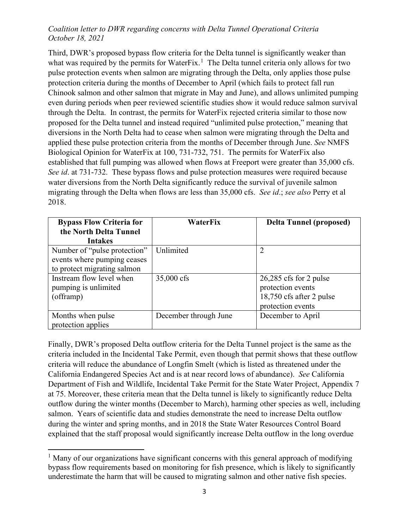Third, DWR's proposed bypass flow criteria for the Delta tunnel is significantly weaker than what was required by the permits for Water $Fix$ .<sup>[1](#page-2-0)</sup> The Delta tunnel criteria only allows for two pulse protection events when salmon are migrating through the Delta, only applies those pulse protection criteria during the months of December to April (which fails to protect fall run Chinook salmon and other salmon that migrate in May and June), and allows unlimited pumping even during periods when peer reviewed scientific studies show it would reduce salmon survival through the Delta. In contrast, the permits for WaterFix rejected criteria similar to those now proposed for the Delta tunnel and instead required "unlimited pulse protection," meaning that diversions in the North Delta had to cease when salmon were migrating through the Delta and applied these pulse protection criteria from the months of December through June. *See* NMFS Biological Opinion for WaterFix at 100, 731-732, 751. The permits for WaterFix also established that full pumping was allowed when flows at Freeport were greater than 35,000 cfs. *See id*. at 731-732. These bypass flows and pulse protection measures were required because water diversions from the North Delta significantly reduce the survival of juvenile salmon migrating through the Delta when flows are less than 35,000 cfs. *See id*.; *see also* Perry et al 2018.

| <b>Bypass Flow Criteria for</b> | WaterFix              | <b>Delta Tunnel (proposed)</b> |
|---------------------------------|-----------------------|--------------------------------|
| the North Delta Tunnel          |                       |                                |
| <b>Intakes</b>                  |                       |                                |
| Number of "pulse protection"    | Unlimited             | $\overline{2}$                 |
| events where pumping ceases     |                       |                                |
| to protect migrating salmon     |                       |                                |
| Instream flow level when        | 35,000 cfs            | $26,285$ cfs for 2 pulse       |
| pumping is unlimited            |                       | protection events              |
| (offramp)                       |                       | 18,750 cfs after 2 pulse       |
|                                 |                       | protection events              |
| Months when pulse               | December through June | December to April              |
| protection applies              |                       |                                |

Finally, DWR's proposed Delta outflow criteria for the Delta Tunnel project is the same as the criteria included in the Incidental Take Permit, even though that permit shows that these outflow criteria will reduce the abundance of Longfin Smelt (which is listed as threatened under the California Endangered Species Act and is at near record lows of abundance). *See* California Department of Fish and Wildlife, Incidental Take Permit for the State Water Project, Appendix 7 at 75. Moreover, these criteria mean that the Delta tunnel is likely to significantly reduce Delta outflow during the winter months (December to March), harming other species as well, including salmon. Years of scientific data and studies demonstrate the need to increase Delta outflow during the winter and spring months, and in 2018 the State Water Resources Control Board explained that the staff proposal would significantly increase Delta outflow in the long overdue

<span id="page-2-0"></span><sup>&</sup>lt;sup>1</sup> Many of our organizations have significant concerns with this general approach of modifying bypass flow requirements based on monitoring for fish presence, which is likely to significantly underestimate the harm that will be caused to migrating salmon and other native fish species.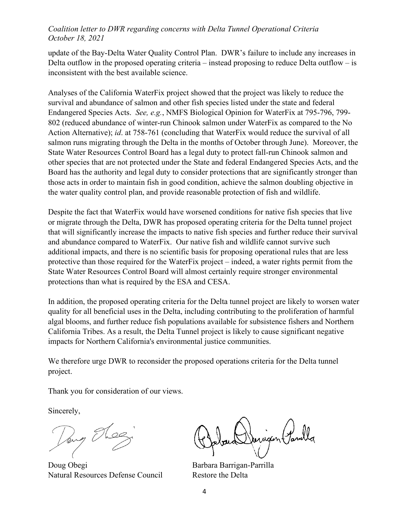update of the Bay-Delta Water Quality Control Plan. DWR's failure to include any increases in Delta outflow in the proposed operating criteria – instead proposing to reduce Delta outflow – is inconsistent with the best available science.

Analyses of the California WaterFix project showed that the project was likely to reduce the survival and abundance of salmon and other fish species listed under the state and federal Endangered Species Acts. *See, e.g.*, NMFS Biological Opinion for WaterFix at 795-796, 799- 802 (reduced abundance of winter-run Chinook salmon under WaterFix as compared to the No Action Alternative); *id*. at 758-761 (concluding that WaterFix would reduce the survival of all salmon runs migrating through the Delta in the months of October through June). Moreover, the State Water Resources Control Board has a legal duty to protect fall-run Chinook salmon and other species that are not protected under the State and federal Endangered Species Acts, and the Board has the authority and legal duty to consider protections that are significantly stronger than those acts in order to maintain fish in good condition, achieve the salmon doubling objective in the water quality control plan, and provide reasonable protection of fish and wildlife.

Despite the fact that WaterFix would have worsened conditions for native fish species that live or migrate through the Delta, DWR has proposed operating criteria for the Delta tunnel project that will significantly increase the impacts to native fish species and further reduce their survival and abundance compared to WaterFix. Our native fish and wildlife cannot survive such additional impacts, and there is no scientific basis for proposing operational rules that are less protective than those required for the WaterFix project – indeed, a water rights permit from the State Water Resources Control Board will almost certainly require stronger environmental protections than what is required by the ESA and CESA.

In addition, the proposed operating criteria for the Delta tunnel project are likely to worsen water quality for all beneficial uses in the Delta, including contributing to the proliferation of harmful algal blooms, and further reduce fish populations available for subsistence fishers and Northern California Tribes. As a result, the Delta Tunnel project is likely to cause significant negative impacts for Northern California's environmental justice communities.

We therefore urge DWR to reconsider the proposed operations criteria for the Delta tunnel project.

Thank you for consideration of our views.

Sincerely,

Dang Flee

Doug Obegi Barbara Barrigan-Parrilla Natural Resources Defense Council Restore the Delta

arigan (Tamilla